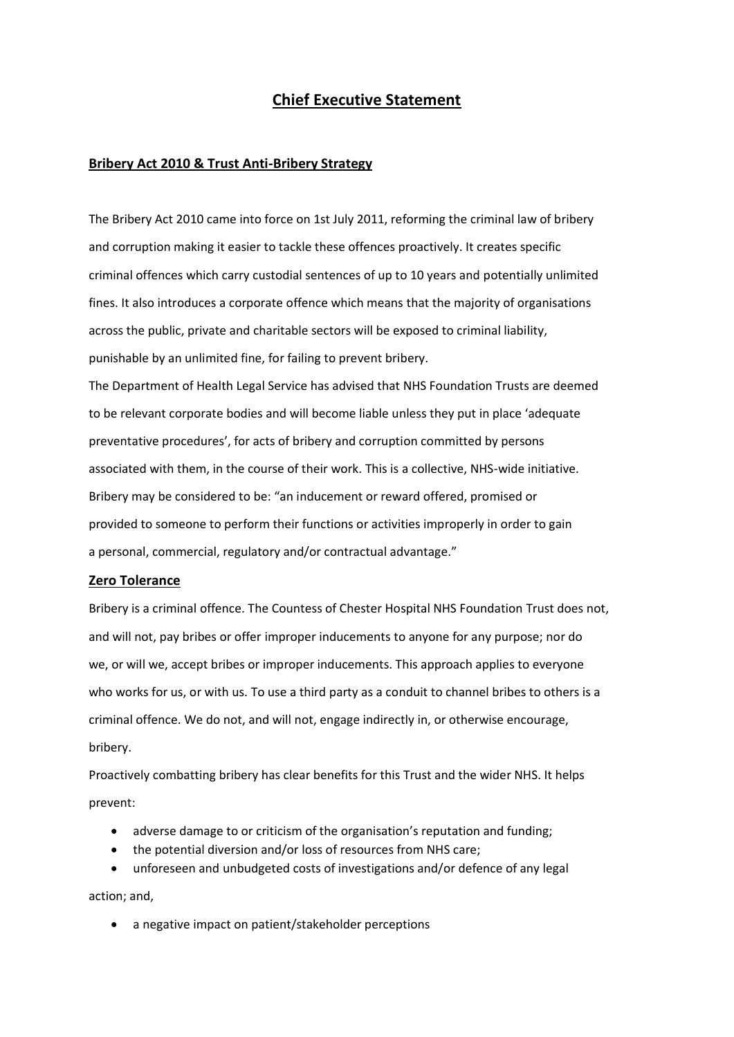# **Chief Executive Statement**

#### **Bribery Act 2010 & Trust Anti-Bribery Strategy**

The Bribery Act 2010 came into force on 1st July 2011, reforming the criminal law of bribery and corruption making it easier to tackle these offences proactively. It creates specific criminal offences which carry custodial sentences of up to 10 years and potentially unlimited fines. It also introduces a corporate offence which means that the majority of organisations across the public, private and charitable sectors will be exposed to criminal liability, punishable by an unlimited fine, for failing to prevent bribery.

The Department of Health Legal Service has advised that NHS Foundation Trusts are deemed to be relevant corporate bodies and will become liable unless they put in place 'adequate preventative procedures', for acts of bribery and corruption committed by persons associated with them, in the course of their work. This is a collective, NHS-wide initiative. Bribery may be considered to be: "an inducement or reward offered, promised or provided to someone to perform their functions or activities improperly in order to gain a personal, commercial, regulatory and/or contractual advantage."

#### **Zero Tolerance**

Bribery is a criminal offence. The Countess of Chester Hospital NHS Foundation Trust does not, and will not, pay bribes or offer improper inducements to anyone for any purpose; nor do we, or will we, accept bribes or improper inducements. This approach applies to everyone who works for us, or with us. To use a third party as a conduit to channel bribes to others is a criminal offence. We do not, and will not, engage indirectly in, or otherwise encourage, bribery.

Proactively combatting bribery has clear benefits for this Trust and the wider NHS. It helps prevent:

- adverse damage to or criticism of the organisation's reputation and funding;
- the potential diversion and/or loss of resources from NHS care;

• unforeseen and unbudgeted costs of investigations and/or defence of any legal action; and,

• a negative impact on patient/stakeholder perceptions